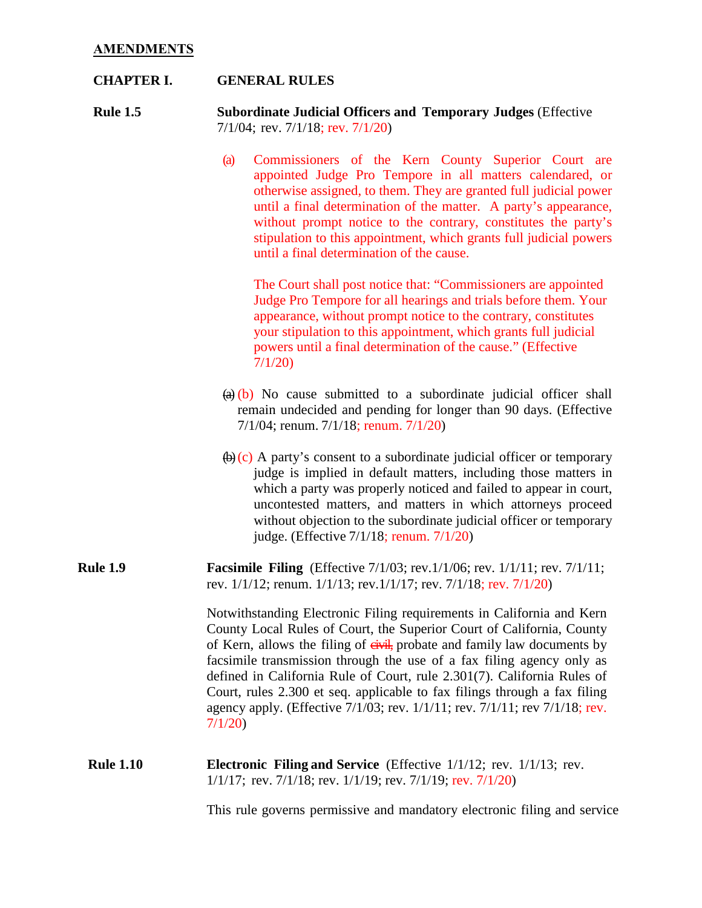# **CHAPTER I. GENERAL RULES**

**Rule 1.5 Subordinate Judicial Officers and Temporary Judges** (Effective 7/1/04; rev. 7/1/18; rev. 7/1/20)

> (a) Commissioners of the Kern County Superior Court are appointed Judge Pro Tempore in all matters calendared, or otherwise assigned, to them. They are granted full judicial power until a final determination of the matter. A party's appearance, without prompt notice to the contrary, constitutes the party's stipulation to this appointment, which grants full judicial powers until a final determination of the cause.

The Court shall post notice that: "Commissioners are appointed Judge Pro Tempore for all hearings and trials before them. Your appearance, without prompt notice to the contrary, constitutes your stipulation to this appointment, which grants full judicial powers until a final determination of the cause." (Effective 7/1/20)

- $\left(\theta\right)$  No cause submitted to a subordinate judicial officer shall remain undecided and pending for longer than 90 days. (Effective 7/1/04; renum. 7/1/18; renum. 7/1/20)
- $\left(\theta\right)$  (c) A party's consent to a subordinate judicial officer or temporary judge is implied in default matters, including those matters in which a party was properly noticed and failed to appear in court, uncontested matters, and matters in which attorneys proceed without objection to the subordinate judicial officer or temporary judge. (Effective 7/1/18; renum. 7/1/20)
- **Rule 1.9 Facsimile Filing** (Effective 7/1/03; rev. 1/1/06; rev. 1/1/11; rev. 7/1/11; rev. 1/1/12; renum. 1/1/13; rev.1/1/17; rev. 7/1/18; rev. 7/1/20)

Notwithstanding Electronic Filing requirements in California and Kern County Local Rules of Court, the Superior Court of California, County of Kern, allows the filing of eivil, probate and family law documents by facsimile transmission through the use of a fax filing agency only as defined in California Rule of Court, rule 2.301(7). California Rules of Court, rules 2.300 et seq. applicable to fax filings through a fax filing agency apply. (Effective 7/1/03; rev. 1/1/11; rev. 7/1/11; rev 7/1/18; rev. 7/1/20)

**Rule 1.10 Electronic Filing and Service** (Effective 1/1/12; rev. 1/1/13; rev. 1/1/17; rev. 7/1/18; rev. 1/1/19; rev. 7/1/19; rev. 7/1/20)

This rule governs permissive and mandatory electronic filing and service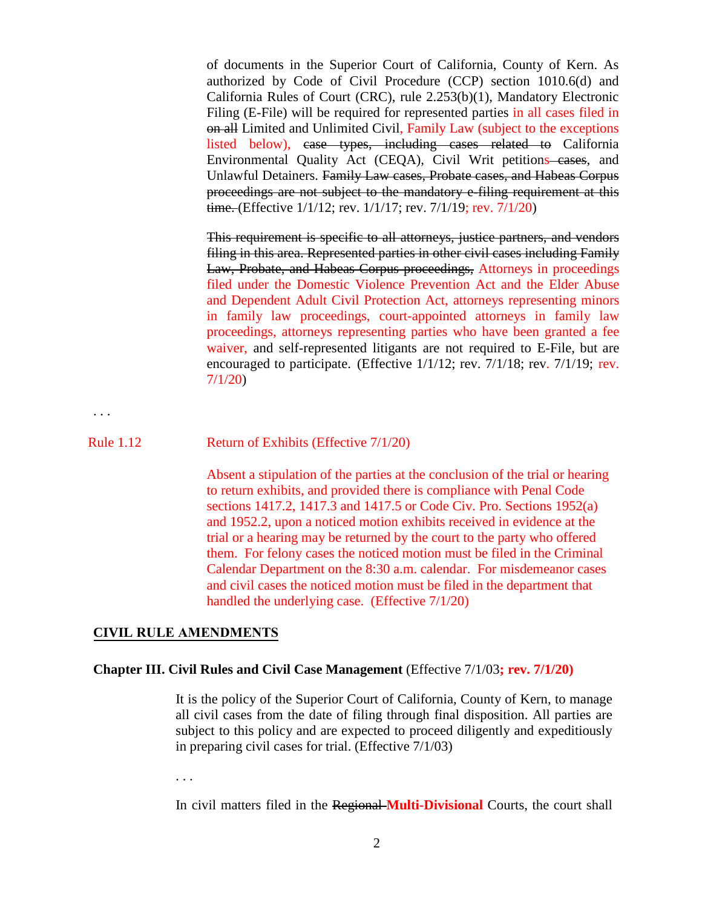of documents in the Superior Court of California, County of Kern. As authorized by Code of Civil Procedure (CCP) section 1010.6(d) and California Rules of Court (CRC), rule 2.253(b)(1), Mandatory Electronic Filing (E-File) will be required for represented parties in all cases filed in on all Limited and Unlimited Civil, Family Law (subject to the exceptions listed below), case types, including cases related to California Environmental Quality Act (CEQA), Civil Writ petitions cases, and Unlawful Detainers. Family Law cases, Probate cases, and Habeas Corpus proceedings are not subject to the mandatory e-filing requirement at this time. (Effective 1/1/12; rev. 1/1/17; rev. 7/1/19; rev. 7/1/20)

This requirement is specific to all attorneys, justice partners, and vendors filing in this area. Represented parties in other civil cases including Family Law, Probate, and Habeas Corpus proceedings, Attorneys in proceedings filed under the Domestic Violence Prevention Act and the Elder Abuse and Dependent Adult Civil Protection Act, attorneys representing minors in family law proceedings, court-appointed attorneys in family law proceedings, attorneys representing parties who have been granted a fee waiver, and self-represented litigants are not required to E-File, but are encouraged to participate. (Effective 1/1/12; rev. 7/1/18; rev. 7/1/19; rev. 7/1/20)

. . .

### Rule 1.12 Return of Exhibits (Effective 7/1/20)

Absent a stipulation of the parties at the conclusion of the trial or hearing to return exhibits, and provided there is compliance with Penal Code sections 1417.2, 1417.3 and 1417.5 or Code Civ. Pro. Sections 1952(a) and 1952.2, upon a noticed motion exhibits received in evidence at the trial or a hearing may be returned by the court to the party who offered them. For felony cases the noticed motion must be filed in the Criminal Calendar Department on the 8:30 a.m. calendar. For misdemeanor cases and civil cases the noticed motion must be filed in the department that handled the underlying case. (Effective 7/1/20)

#### **CIVIL RULE AMENDMENTS**

### **Chapter III. Civil Rules and Civil Case Management** (Effective 7/1/03**; rev. 7/1/20)**

It is the policy of the Superior Court of California, County of Kern, to manage all civil cases from the date of filing through final disposition. All parties are subject to this policy and are expected to proceed diligently and expeditiously in preparing civil cases for trial. (Effective 7/1/03)

. . .

In civil matters filed in the Regional **Multi-Divisional** Courts, the court shall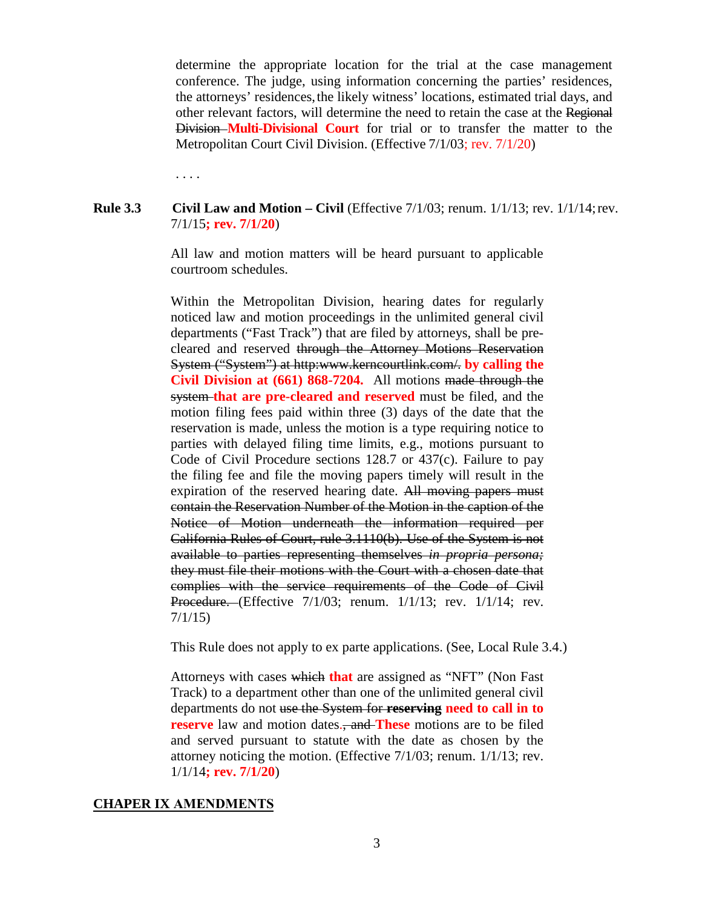determine the appropriate location for the trial at the case management conference. The judge, using information concerning the parties' residences, the attorneys' residences,the likely witness' locations, estimated trial days, and other relevant factors, will determine the need to retain the case at the Regional Division **Multi-Divisional Court** for trial or to transfer the matter to the Metropolitan Court Civil Division. (Effective 7/1/03; rev. 7/1/20)

. . . .

# **Rule 3.3** Civil Law and Motion – Civil (Effective 7/1/03; renum. 1/1/13; rev. 1/1/14; rev. 7/1/15**; rev. 7/1/20**)

All law and motion matters will be heard pursuant to applicable courtroom schedules.

Within the Metropolitan Division, hearing dates for regularly noticed law and motion proceedings in the unlimited general civil departments ("Fast Track") that are filed by attorneys, shall be precleared and reserved through the Attorney Motions Reservation System ("System") at htt[p:www.kerncourtlink.com/.](http://www.kerncourtlink.com/) **by calling the Civil Division at (661) 868-7204.** All motions made through the system **that are pre-cleared and reserved** must be filed, and the motion filing fees paid within three (3) days of the date that the reservation is made, unless the motion is a type requiring notice to parties with delayed filing time limits, e.g., motions pursuant to Code of Civil Procedure sections 128.7 or 437(c). Failure to pay the filing fee and file the moving papers timely will result in the expiration of the reserved hearing date. All moving papers must contain the Reservation Number of the Motion in the caption of the Notice of Motion underneath the information required per California Rules of Court, rule 3.1110(b). Use of the System is not available to parties representing themselves *in propria persona;*  they must file their motions with the Court with a chosen date that complies with the service requirements of the Code of Civil **Procedure.** (Effective 7/1/03; renum. 1/1/13; rev. 1/1/14; rev. 7/1/15)

This Rule does not apply to ex parte applications. (See, Local Rule 3.4.)

Attorneys with cases which **that** are assigned as "NFT" (Non Fast Track) to a department other than one of the unlimited general civil departments do not use the System for **reserving need to call in to reserve** law and motion dates., and **These** motions are to be filed and served pursuant to statute with the date as chosen by the attorney noticing the motion. (Effective 7/1/03; renum. 1/1/13; rev. 1/1/14**; rev. 7/1/20**)

### **CHAPER IX AMENDMENTS**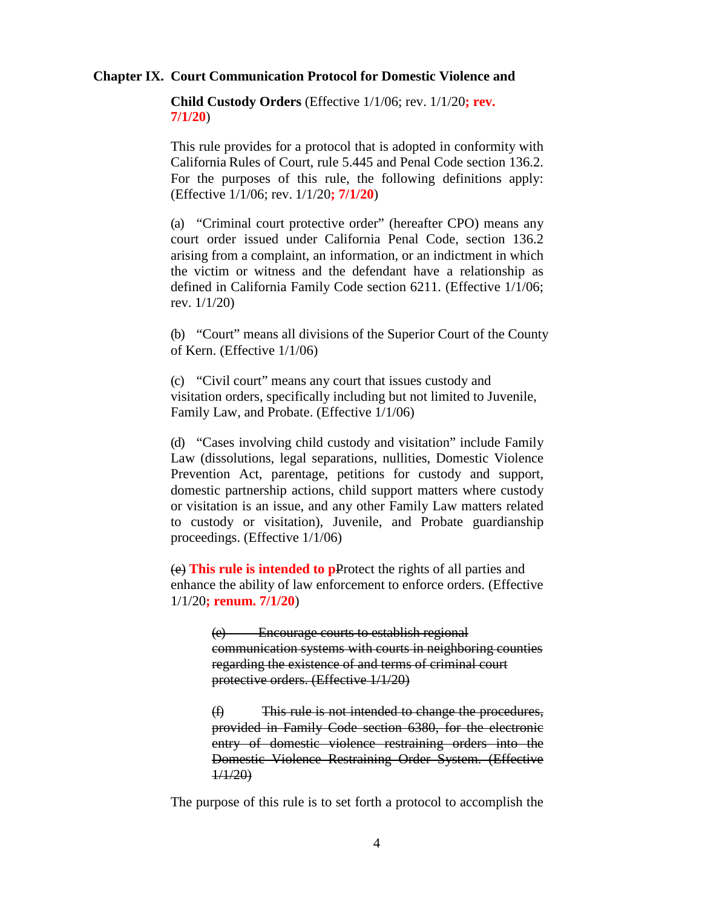### **Chapter IX. Court Communication Protocol for Domestic Violence and**

**Child Custody Orders** (Effective 1/1/06; rev. 1/1/20**; rev. 7/1/20**)

This rule provides for a protocol that is adopted in conformity with California Rules of Court, rule 5.445 and Penal Code section 136.2. For the purposes of this rule, the following definitions apply: (Effective 1/1/06; rev. 1/1/20**; 7/1/20**)

(a) "Criminal court protective order" (hereafter CPO) means any court order issued under California Penal Code, section 136.2 arising from a complaint, an information, or an indictment in which the victim or witness and the defendant have a relationship as defined in California Family Code section 6211. (Effective 1/1/06; rev. 1/1/20)

(b) "Court" means all divisions of the Superior Court of the County of Kern. (Effective 1/1/06)

(c) "Civil court" means any court that issues custody and visitation orders, specifically including but not limited to Juvenile, Family Law, and Probate. (Effective 1/1/06)

(d) "Cases involving child custody and visitation" include Family Law (dissolutions, legal separations, nullities, Domestic Violence Prevention Act, parentage, petitions for custody and support, domestic partnership actions, child support matters where custody or visitation is an issue, and any other Family Law matters related to custody or visitation), Juvenile, and Probate guardianship proceedings. (Effective 1/1/06)

(e) **This rule is intended to p**Protect the rights of all parties and enhance the ability of law enforcement to enforce orders. (Effective 1/1/20**; renum. 7/1/20**)

> (e) Encourage courts to establish regional communication systems with courts in neighboring counties regarding the existence of and terms of criminal court protective orders. (Effective 1/1/20)

> (f) This rule is not intended to change the procedures, provided in Family Code section 6380, for the electronic entry of domestic violence restraining orders into the Domestic Violence Restraining Order System. (Effective 1/1/20)

The purpose of this rule is to set forth a protocol to accomplish the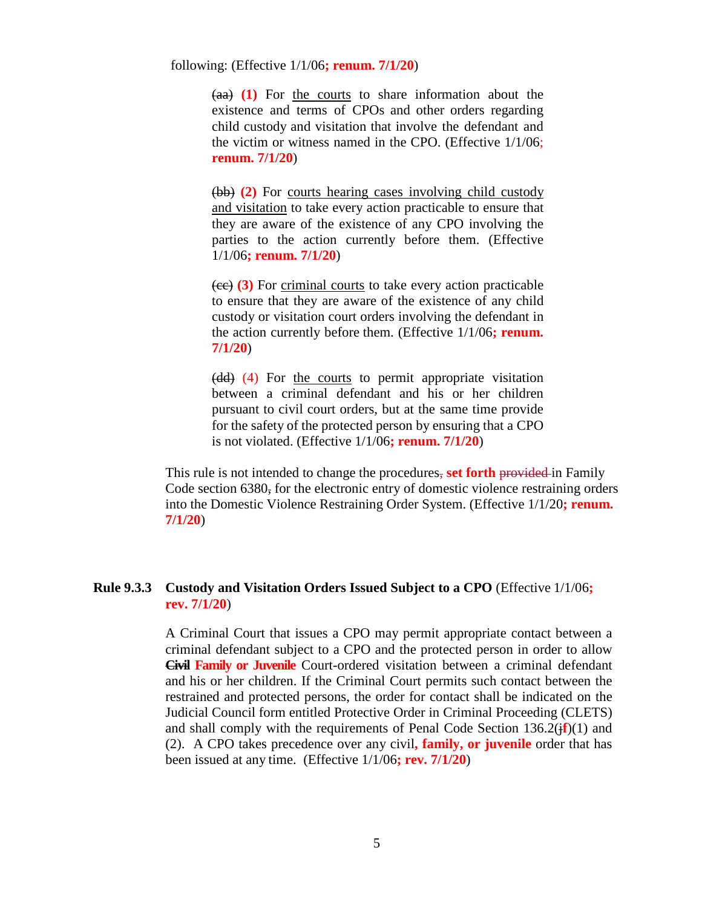following: (Effective 1/1/06**; renum. 7/1/20**)

(aa) **(1)** For the courts to share information about the existence and terms of CPOs and other orders regarding child custody and visitation that involve the defendant and the victim or witness named in the CPO. (Effective 1/1/06; **renum. 7/1/20**)

(bb) **(2)** For courts hearing cases involving child custody and visitation to take every action practicable to ensure that they are aware of the existence of any CPO involving the parties to the action currently before them. (Effective 1/1/06**; renum. 7/1/20**)

(cc) **(3)** For criminal courts to take every action practicable to ensure that they are aware of the existence of any child custody or visitation court orders involving the defendant in the action currently before them. (Effective 1/1/06**; renum. 7/1/20**)

(dd) (4) For the courts to permit appropriate visitation between a criminal defendant and his or her children pursuant to civil court orders, but at the same time provide for the safety of the protected person by ensuring that a CPO is not violated. (Effective 1/1/06**; renum. 7/1/20**)

This rule is not intended to change the procedures, set forth provided in Family Code section 6380, for the electronic entry of domestic violence restraining orders into the Domestic Violence Restraining Order System. (Effective 1/1/20**; renum. 7/1/20**)

# **Rule 9.3.3 Custody and Visitation Orders Issued Subject to a CPO** (Effective 1/1/06**; rev. 7/1/20**)

A Criminal Court that issues a CPO may permit appropriate contact between a criminal defendant subject to a CPO and the protected person in order to allow **Civil Family or Juvenile** Court-ordered visitation between a criminal defendant and his or her children. If the Criminal Court permits such contact between the restrained and protected persons, the order for contact shall be indicated on the Judicial Council form entitled Protective Order in Criminal Proceeding (CLETS) and shall comply with the requirements of Penal Code Section  $136.2(j_f^2)(1)$  and (2). A CPO takes precedence over any civil**, family, or juvenile** order that has been issued at any time. (Effective 1/1/06**; rev. 7/1/20**)